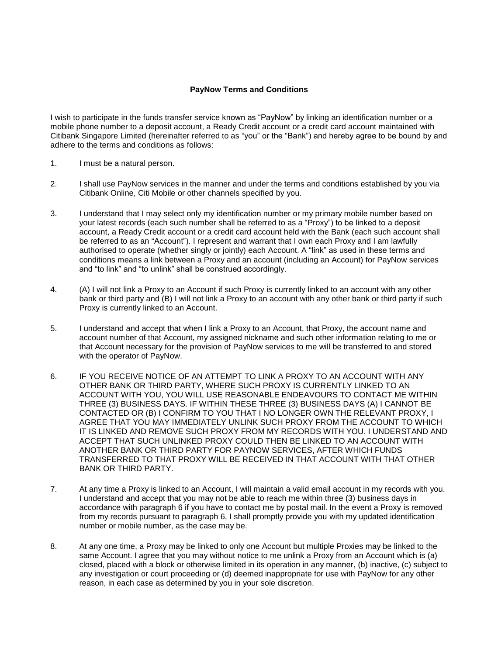## **PayNow Terms and Conditions**

I wish to participate in the funds transfer service known as "PayNow" by linking an identification number or a mobile phone number to a deposit account, a Ready Credit account or a credit card account maintained with Citibank Singapore Limited (hereinafter referred to as "you" or the "Bank") and hereby agree to be bound by and adhere to the terms and conditions as follows:

- 1. I must be a natural person.
- 2. I shall use PayNow services in the manner and under the terms and conditions established by you via Citibank Online, Citi Mobile or other channels specified by you.
- 3. I understand that I may select only my identification number or my primary mobile number based on your latest records (each such number shall be referred to as a "Proxy") to be linked to a deposit account, a Ready Credit account or a credit card account held with the Bank (each such account shall be referred to as an "Account"). I represent and warrant that I own each Proxy and I am lawfully authorised to operate (whether singly or jointly) each Account. A "link" as used in these terms and conditions means a link between a Proxy and an account (including an Account) for PayNow services and "to link" and "to unlink" shall be construed accordingly.
- 4. (A) I will not link a Proxy to an Account if such Proxy is currently linked to an account with any other bank or third party and (B) I will not link a Proxy to an account with any other bank or third party if such Proxy is currently linked to an Account.
- 5. I understand and accept that when I link a Proxy to an Account, that Proxy, the account name and account number of that Account, my assigned nickname and such other information relating to me or that Account necessary for the provision of PayNow services to me will be transferred to and stored with the operator of PayNow.
- 6. IF YOU RECEIVE NOTICE OF AN ATTEMPT TO LINK A PROXY TO AN ACCOUNT WITH ANY OTHER BANK OR THIRD PARTY, WHERE SUCH PROXY IS CURRENTLY LINKED TO AN ACCOUNT WITH YOU, YOU WILL USE REASONABLE ENDEAVOURS TO CONTACT ME WITHIN THREE (3) BUSINESS DAYS. IF WITHIN THESE THREE (3) BUSINESS DAYS (A) I CANNOT BE CONTACTED OR (B) I CONFIRM TO YOU THAT I NO LONGER OWN THE RELEVANT PROXY, I AGREE THAT YOU MAY IMMEDIATELY UNLINK SUCH PROXY FROM THE ACCOUNT TO WHICH IT IS LINKED AND REMOVE SUCH PROXY FROM MY RECORDS WITH YOU. I UNDERSTAND AND ACCEPT THAT SUCH UNLINKED PROXY COULD THEN BE LINKED TO AN ACCOUNT WITH ANOTHER BANK OR THIRD PARTY FOR PAYNOW SERVICES, AFTER WHICH FUNDS TRANSFERRED TO THAT PROXY WILL BE RECEIVED IN THAT ACCOUNT WITH THAT OTHER BANK OR THIRD PARTY.
- 7. At any time a Proxy is linked to an Account, I will maintain a valid email account in my records with you. I understand and accept that you may not be able to reach me within three (3) business days in accordance with paragraph 6 if you have to contact me by postal mail. In the event a Proxy is removed from my records pursuant to paragraph 6, I shall promptly provide you with my updated identification number or mobile number, as the case may be.
- 8. At any one time, a Proxy may be linked to only one Account but multiple Proxies may be linked to the same Account. I agree that you may without notice to me unlink a Proxy from an Account which is (a) closed, placed with a block or otherwise limited in its operation in any manner, (b) inactive, (c) subject to any investigation or court proceeding or (d) deemed inappropriate for use with PayNow for any other reason, in each case as determined by you in your sole discretion.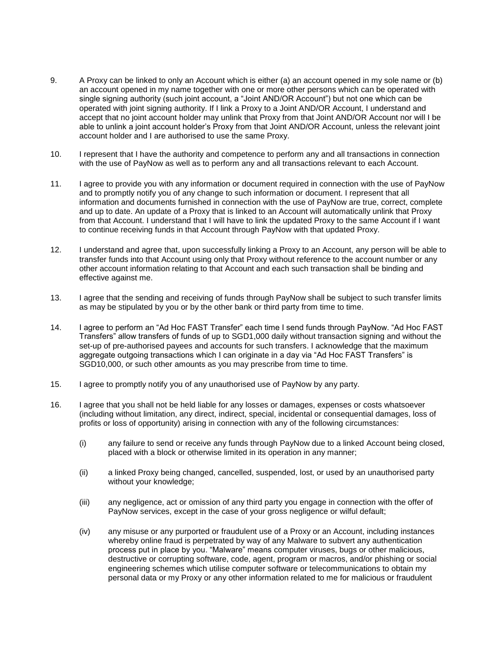- 9. A Proxy can be linked to only an Account which is either (a) an account opened in my sole name or (b) an account opened in my name together with one or more other persons which can be operated with single signing authority (such joint account, a "Joint AND/OR Account") but not one which can be operated with joint signing authority. If I link a Proxy to a Joint AND/OR Account, I understand and accept that no joint account holder may unlink that Proxy from that Joint AND/OR Account nor will I be able to unlink a joint account holder's Proxy from that Joint AND/OR Account, unless the relevant joint account holder and I are authorised to use the same Proxy.
- 10. I represent that I have the authority and competence to perform any and all transactions in connection with the use of PayNow as well as to perform any and all transactions relevant to each Account.
- 11. I agree to provide you with any information or document required in connection with the use of PayNow and to promptly notify you of any change to such information or document. I represent that all information and documents furnished in connection with the use of PayNow are true, correct, complete and up to date. An update of a Proxy that is linked to an Account will automatically unlink that Proxy from that Account. I understand that I will have to link the updated Proxy to the same Account if I want to continue receiving funds in that Account through PayNow with that updated Proxy.
- 12. I understand and agree that, upon successfully linking a Proxy to an Account, any person will be able to transfer funds into that Account using only that Proxy without reference to the account number or any other account information relating to that Account and each such transaction shall be binding and effective against me.
- 13. I agree that the sending and receiving of funds through PayNow shall be subject to such transfer limits as may be stipulated by you or by the other bank or third party from time to time.
- 14. I agree to perform an "Ad Hoc FAST Transfer" each time I send funds through PayNow. "Ad Hoc FAST Transfers" allow transfers of funds of up to SGD1,000 daily without transaction signing and without the set-up of pre-authorised payees and accounts for such transfers. I acknowledge that the maximum aggregate outgoing transactions which I can originate in a day via "Ad Hoc FAST Transfers" is SGD10,000, or such other amounts as you may prescribe from time to time.
- 15. I agree to promptly notify you of any unauthorised use of PayNow by any party.
- 16. I agree that you shall not be held liable for any losses or damages, expenses or costs whatsoever (including without limitation, any direct, indirect, special, incidental or consequential damages, loss of profits or loss of opportunity) arising in connection with any of the following circumstances:
	- (i) any failure to send or receive any funds through PayNow due to a linked Account being closed, placed with a block or otherwise limited in its operation in any manner;
	- (ii) a linked Proxy being changed, cancelled, suspended, lost, or used by an unauthorised party without your knowledge;
	- (iii) any negligence, act or omission of any third party you engage in connection with the offer of PayNow services, except in the case of your gross negligence or wilful default;
	- (iv) any misuse or any purported or fraudulent use of a Proxy or an Account, including instances whereby online fraud is perpetrated by way of any Malware to subvert any authentication process put in place by you. "Malware" means computer viruses, bugs or other malicious, destructive or corrupting software, code, agent, program or macros, and/or phishing or social engineering schemes which utilise computer software or telecommunications to obtain my personal data or my Proxy or any other information related to me for malicious or fraudulent